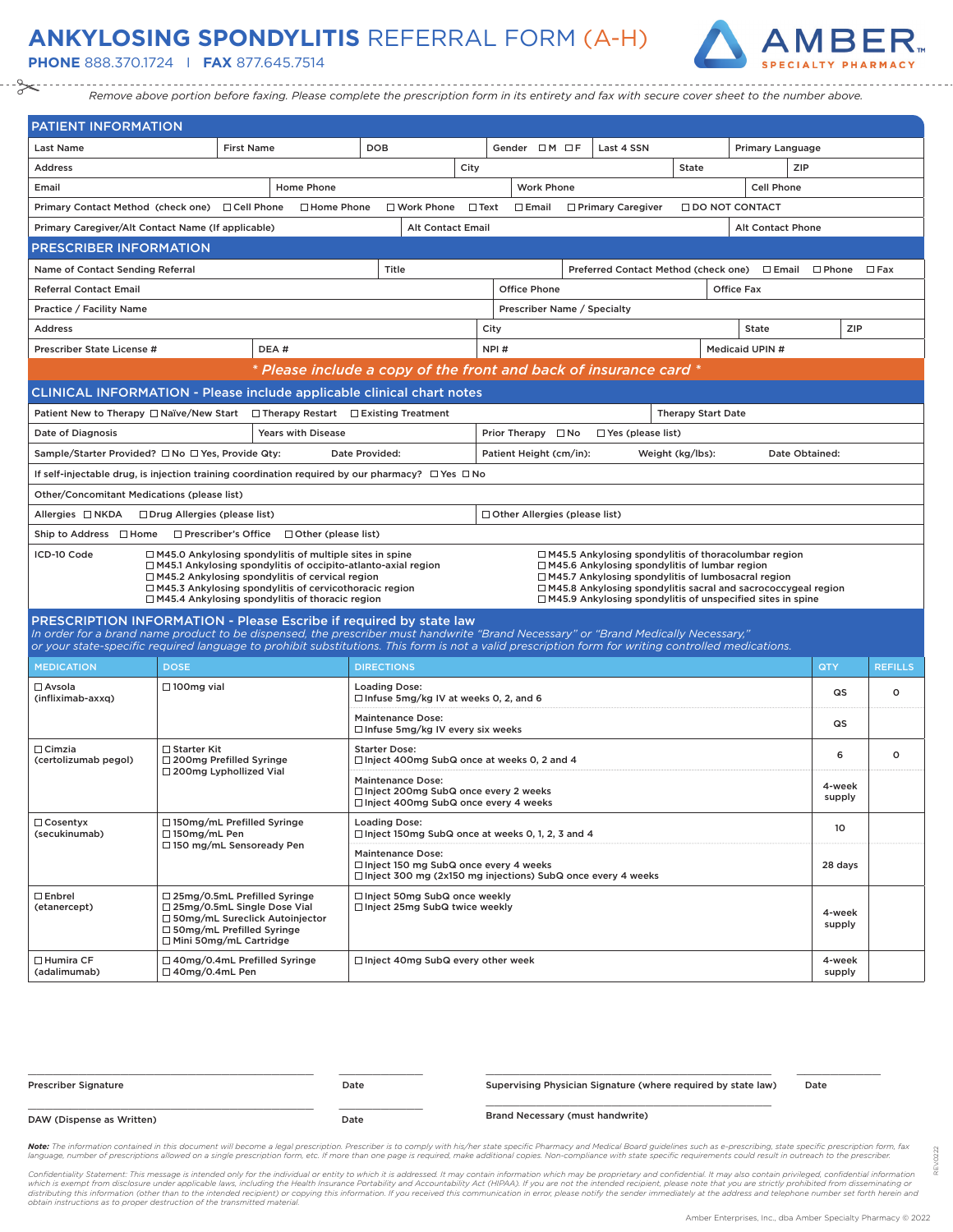## **ANKYLOSING SPONDYLITIS** REFERRAL FORM (A-H)

**PHONE** 888.370.1724 I **FAX** 877.645.7514



*Remove above portion before faxing. Please complete the prescription form in its entirety and fax with secure cover sheet to the number above.*

| PATIENT INFORMATION                                                                                                                                                                                                                                                                                                                                                                                                                                                                                                                                                                                                                                     |                                                                                                                                                                |                                                                      |                                                       |                                                                            |                                                                                                              |                |      |                                      |   |                                                                   |                           |                        |                          |                  |                |  |  |
|---------------------------------------------------------------------------------------------------------------------------------------------------------------------------------------------------------------------------------------------------------------------------------------------------------------------------------------------------------------------------------------------------------------------------------------------------------------------------------------------------------------------------------------------------------------------------------------------------------------------------------------------------------|----------------------------------------------------------------------------------------------------------------------------------------------------------------|----------------------------------------------------------------------|-------------------------------------------------------|----------------------------------------------------------------------------|--------------------------------------------------------------------------------------------------------------|----------------|------|--------------------------------------|---|-------------------------------------------------------------------|---------------------------|------------------------|--------------------------|------------------|----------------|--|--|
| <b>Last Name</b>                                                                                                                                                                                                                                                                                                                                                                                                                                                                                                                                                                                                                                        |                                                                                                                                                                | <b>First Name</b>                                                    |                                                       | <b>DOB</b>                                                                 |                                                                                                              |                |      | Gender $\Box M \Box F$               |   | Last 4 SSN                                                        |                           |                        | Primary Language         |                  |                |  |  |
| <b>Address</b>                                                                                                                                                                                                                                                                                                                                                                                                                                                                                                                                                                                                                                          |                                                                                                                                                                |                                                                      |                                                       |                                                                            |                                                                                                              | City           |      |                                      |   |                                                                   | <b>State</b>              |                        | ZIP                      |                  |                |  |  |
| Email                                                                                                                                                                                                                                                                                                                                                                                                                                                                                                                                                                                                                                                   |                                                                                                                                                                |                                                                      | Home Phone                                            |                                                                            |                                                                                                              |                |      | <b>Work Phone</b>                    |   |                                                                   |                           |                        | Cell Phone               |                  |                |  |  |
| Primary Contact Method (check one) □ Cell Phone                                                                                                                                                                                                                                                                                                                                                                                                                                                                                                                                                                                                         |                                                                                                                                                                |                                                                      | □ Home Phone                                          |                                                                            | □ Work Phone                                                                                                 | $\square$ Text |      | $\square$ Email                      |   | □ Primary Caregiver                                               |                           | <b>ODO NOT CONTACT</b> |                          |                  |                |  |  |
| Primary Caregiver/Alt Contact Name (If applicable)                                                                                                                                                                                                                                                                                                                                                                                                                                                                                                                                                                                                      |                                                                                                                                                                |                                                                      |                                                       |                                                                            | <b>Alt Contact Email</b>                                                                                     |                |      |                                      |   |                                                                   |                           |                        | <b>Alt Contact Phone</b> |                  |                |  |  |
| PRESCRIBER INFORMATION                                                                                                                                                                                                                                                                                                                                                                                                                                                                                                                                                                                                                                  |                                                                                                                                                                |                                                                      |                                                       |                                                                            |                                                                                                              |                |      |                                      |   |                                                                   |                           |                        |                          |                  |                |  |  |
| Name of Contact Sending Referral                                                                                                                                                                                                                                                                                                                                                                                                                                                                                                                                                                                                                        |                                                                                                                                                                |                                                                      |                                                       |                                                                            | Title                                                                                                        |                |      |                                      |   | Preferred Contact Method (check one)                              |                           |                        | $\Box$ Email             | $\Box$ Phone     | $\square$ Fax  |  |  |
| <b>Referral Contact Email</b>                                                                                                                                                                                                                                                                                                                                                                                                                                                                                                                                                                                                                           |                                                                                                                                                                |                                                                      |                                                       |                                                                            |                                                                                                              |                |      | <b>Office Phone</b>                  |   |                                                                   |                           | <b>Office Fax</b>      |                          |                  |                |  |  |
| Practice / Facility Name                                                                                                                                                                                                                                                                                                                                                                                                                                                                                                                                                                                                                                |                                                                                                                                                                |                                                                      |                                                       |                                                                            |                                                                                                              |                |      | Prescriber Name / Specialty          |   |                                                                   |                           |                        |                          |                  |                |  |  |
| <b>Address</b>                                                                                                                                                                                                                                                                                                                                                                                                                                                                                                                                                                                                                                          |                                                                                                                                                                |                                                                      |                                                       |                                                                            |                                                                                                              |                | City |                                      |   |                                                                   |                           | <b>State</b>           |                          | ZIP              |                |  |  |
| Prescriber State License #                                                                                                                                                                                                                                                                                                                                                                                                                                                                                                                                                                                                                              |                                                                                                                                                                |                                                                      | DEA#                                                  |                                                                            |                                                                                                              |                | NPI# |                                      |   |                                                                   |                           | Medicaid UPIN #        |                          |                  |                |  |  |
|                                                                                                                                                                                                                                                                                                                                                                                                                                                                                                                                                                                                                                                         |                                                                                                                                                                |                                                                      |                                                       |                                                                            |                                                                                                              |                |      |                                      |   | * Please include a copy of the front and back of insurance card * |                           |                        |                          |                  |                |  |  |
| CLINICAL INFORMATION - Please include applicable clinical chart notes                                                                                                                                                                                                                                                                                                                                                                                                                                                                                                                                                                                   |                                                                                                                                                                |                                                                      |                                                       |                                                                            |                                                                                                              |                |      |                                      |   |                                                                   |                           |                        |                          |                  |                |  |  |
| Patient New to Therapy □ Naïve/New Start                                                                                                                                                                                                                                                                                                                                                                                                                                                                                                                                                                                                                |                                                                                                                                                                |                                                                      | $\Box$ Therapy Restart $\Box$ Existing Treatment      |                                                                            |                                                                                                              |                |      |                                      |   |                                                                   | <b>Therapy Start Date</b> |                        |                          |                  |                |  |  |
| Date of Diagnosis                                                                                                                                                                                                                                                                                                                                                                                                                                                                                                                                                                                                                                       |                                                                                                                                                                |                                                                      | <b>Years with Disease</b>                             |                                                                            |                                                                                                              |                |      | Prior Therapy □ No                   |   | $\Box$ Yes (please list)                                          |                           |                        |                          |                  |                |  |  |
| Sample/Starter Provided? □ No □ Yes, Provide Qty:                                                                                                                                                                                                                                                                                                                                                                                                                                                                                                                                                                                                       |                                                                                                                                                                |                                                                      |                                                       | Date Provided:                                                             |                                                                                                              |                |      | Patient Height (cm/in):              |   |                                                                   | Weight (kg/lbs):          |                        | Date Obtained:           |                  |                |  |  |
| If self-injectable drug, is injection training coordination required by our pharmacy? $\Box$ Yes $\Box$ No                                                                                                                                                                                                                                                                                                                                                                                                                                                                                                                                              |                                                                                                                                                                |                                                                      |                                                       |                                                                            |                                                                                                              |                |      |                                      |   |                                                                   |                           |                        |                          |                  |                |  |  |
| Other/Concomitant Medications (please list)                                                                                                                                                                                                                                                                                                                                                                                                                                                                                                                                                                                                             |                                                                                                                                                                |                                                                      |                                                       |                                                                            |                                                                                                              |                |      |                                      |   |                                                                   |                           |                        |                          |                  |                |  |  |
| Allergies □ NKDA                                                                                                                                                                                                                                                                                                                                                                                                                                                                                                                                                                                                                                        | □ Drug Allergies (please list)                                                                                                                                 |                                                                      |                                                       |                                                                            |                                                                                                              |                |      | $\Box$ Other Allergies (please list) |   |                                                                   |                           |                        |                          |                  |                |  |  |
| Ship to Address □ Home                                                                                                                                                                                                                                                                                                                                                                                                                                                                                                                                                                                                                                  |                                                                                                                                                                |                                                                      | $\Box$ Prescriber's Office $\Box$ Other (please list) |                                                                            |                                                                                                              |                |      |                                      |   |                                                                   |                           |                        |                          |                  |                |  |  |
| ICD-10 Code<br>$\Box$ M45.0 Ankylosing spondylitis of multiple sites in spine<br>$\Box$ M45.5 Ankylosing spondylitis of thoracolumbar region<br>□ M45.6 Ankylosing spondylitis of lumbar region<br>$\Box$ M45.1 Ankylosing spondylitis of occipito-atlanto-axial region<br>$\Box$ M45.2 Ankylosing spondylitis of cervical region<br>$\Box$ M45.7 Ankylosing spondylitis of lumbosacral region<br>□ M45.3 Ankylosing spondylitis of cervicothoracic region<br>□ M45.8 Ankylosing spondylitis sacral and sacrococcygeal region<br>$\Box$ M45.4 Ankylosing spondylitis of thoracic region<br>□ M45.9 Ankylosing spondylitis of unspecified sites in spine |                                                                                                                                                                |                                                                      |                                                       |                                                                            |                                                                                                              |                |      |                                      |   |                                                                   |                           |                        |                          |                  |                |  |  |
| PRESCRIPTION INFORMATION - Please Escribe if required by state law<br>In order for a brand name product to be dispensed, the prescriber must handwrite "Brand Necessary" or "Brand Medically Necessary,"                                                                                                                                                                                                                                                                                                                                                                                                                                                |                                                                                                                                                                |                                                                      |                                                       |                                                                            |                                                                                                              |                |      |                                      |   |                                                                   |                           |                        |                          |                  |                |  |  |
| or your state-specific required language to prohibit substitutions. This form is not a valid prescription form for writing controlled medications.                                                                                                                                                                                                                                                                                                                                                                                                                                                                                                      |                                                                                                                                                                |                                                                      |                                                       |                                                                            |                                                                                                              |                |      |                                      |   |                                                                   |                           |                        |                          |                  |                |  |  |
| <b>MEDICATION</b>                                                                                                                                                                                                                                                                                                                                                                                                                                                                                                                                                                                                                                       | <b>DOSE</b>                                                                                                                                                    |                                                                      |                                                       | <b>DIRECTIONS</b>                                                          |                                                                                                              |                |      |                                      |   |                                                                   |                           |                        |                          | QTY              | <b>REFILLS</b> |  |  |
| $\square$ Avsola<br>(infliximab-axxq)                                                                                                                                                                                                                                                                                                                                                                                                                                                                                                                                                                                                                   | $\Box$ 100mg vial                                                                                                                                              |                                                                      |                                                       | <b>Loading Dose:</b>                                                       | $\Box$ Infuse 5mg/kg IV at weeks 0, 2, and 6                                                                 |                |      |                                      |   |                                                                   |                           |                        |                          | QS               | $\circ$        |  |  |
|                                                                                                                                                                                                                                                                                                                                                                                                                                                                                                                                                                                                                                                         |                                                                                                                                                                |                                                                      |                                                       |                                                                            | <b>Maintenance Dose:</b><br>$\Box$ Infuse 5mg/kg IV every six weeks                                          |                |      |                                      |   |                                                                   |                           |                        |                          | QS               |                |  |  |
| $\Box$ Cimzia<br>□ Starter Kit<br>□ 200mg Prefilled Syringe<br>(certolizumab pegol)<br>□ 200mg Lyphollized Vial                                                                                                                                                                                                                                                                                                                                                                                                                                                                                                                                         |                                                                                                                                                                | <b>Starter Dose:</b><br>□ Inject 400mg SubQ once at weeks 0, 2 and 4 |                                                       |                                                                            |                                                                                                              |                |      | 6                                    | o |                                                                   |                           |                        |                          |                  |                |  |  |
|                                                                                                                                                                                                                                                                                                                                                                                                                                                                                                                                                                                                                                                         |                                                                                                                                                                |                                                                      |                                                       |                                                                            | <b>Maintenance Dose:</b><br>□ Inject 200mg SubQ once every 2 weeks<br>□ Inject 400mg SubQ once every 4 weeks |                |      |                                      |   |                                                                   |                           |                        |                          | 4-week<br>supply |                |  |  |
| $\Box$ Cosentyx<br>□150mg/mL Prefilled Syringe<br>(secukinumab)<br>$\Box$ 150mg/mL Pen                                                                                                                                                                                                                                                                                                                                                                                                                                                                                                                                                                  |                                                                                                                                                                |                                                                      |                                                       | <b>Loading Dose:</b><br>□ Inject 150mg SubQ once at weeks 0, 1, 2, 3 and 4 |                                                                                                              |                |      |                                      |   |                                                                   | 10                        |                        |                          |                  |                |  |  |
|                                                                                                                                                                                                                                                                                                                                                                                                                                                                                                                                                                                                                                                         | □150 mg/mL Sensoready Pen                                                                                                                                      |                                                                      |                                                       |                                                                            | <b>Maintenance Dose:</b><br>□ Inject 150 mg SubQ once every 4 weeks                                          |                |      |                                      |   | □ Inject 300 mg (2x150 mg injections) SubQ once every 4 weeks     |                           |                        |                          | 28 days          |                |  |  |
| □ Enbrel<br>(etanercept)                                                                                                                                                                                                                                                                                                                                                                                                                                                                                                                                                                                                                                | □ 25mg/0.5mL Prefilled Syringe<br>□ 25mg/0.5mL Single Dose Vial<br>□ 50mg/mL Sureclick Autoinjector<br>□ 50mg/mL Prefilled Syringe<br>□ Mini 50mg/mL Cartridge |                                                                      |                                                       |                                                                            | □ Inject 50mg SubQ once weekly<br>□ Inject 25mg SubQ twice weekly                                            |                |      |                                      |   |                                                                   |                           |                        |                          | 4-week<br>supply |                |  |  |
| □ Humira CF<br>(adalimumab)                                                                                                                                                                                                                                                                                                                                                                                                                                                                                                                                                                                                                             | □ 40mg/0.4mL Prefilled Syringe<br>□ 40mg/0.4mL Pen                                                                                                             |                                                                      |                                                       |                                                                            | □ Inject 40mg SubQ every other week                                                                          |                |      |                                      |   |                                                                   |                           |                        |                          | 4-week<br>supply |                |  |  |

| <b>Prescriber Signature</b> | Date | Supervising Physician Signature (where required by state law) | Date |  |
|-----------------------------|------|---------------------------------------------------------------|------|--|
| DAW (Dispense as Written)   | Date | Brand Necessary (must handwrite)                              |      |  |

Note: The information contained in this document will become a legal prescription. Prescriber is to comply with his/her state specific Pharmacy and Medical Board guidelines such as e-prescribing, state specific prescriptio language, number of prescriptions allowed on a single prescription form, etc. If more than one page is required, make additional copies. Non-compliance with state specific requirements could result in outreach to the presc

Confidentiality Statement: This message is intended only for the individual or entity to which it is addressed. It may contain information which may be proprietary and confidential. It may also contain privileged, confiden

REV.0222

0222 è